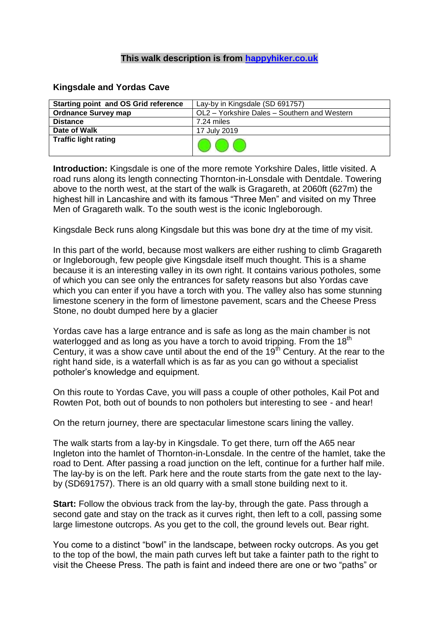## **This walk description is from [happyhiker.co.uk](http://happyhiker.co.uk/)**

## **Kingsdale and Yordas Cave**

| <b>Starting point and OS Grid reference</b> | Lay-by in Kingsdale (SD 691757)              |
|---------------------------------------------|----------------------------------------------|
| <b>Ordnance Survey map</b>                  | OL2 - Yorkshire Dales - Southern and Western |
| <b>Distance</b>                             | 7.24 miles                                   |
| Date of Walk                                | 17 July 2019                                 |
| <b>Traffic light rating</b>                 |                                              |

**Introduction:** Kingsdale is one of the more remote Yorkshire Dales, little visited. A road runs along its length connecting Thornton-in-Lonsdale with Dentdale. Towering above to the north west, at the start of the walk is Gragareth, at 2060ft (627m) the highest hill in Lancashire and with its famous "Three Men" and visited on my Three Men of Gragareth walk. To the south west is the iconic Ingleborough.

Kingsdale Beck runs along Kingsdale but this was bone dry at the time of my visit.

In this part of the world, because most walkers are either rushing to climb Gragareth or Ingleborough, few people give Kingsdale itself much thought. This is a shame because it is an interesting valley in its own right. It contains various potholes, some of which you can see only the entrances for safety reasons but also Yordas cave which you can enter if you have a torch with you. The valley also has some stunning limestone scenery in the form of limestone pavement, scars and the Cheese Press Stone, no doubt dumped here by a glacier

Yordas cave has a large entrance and is safe as long as the main chamber is not waterlogged and as long as you have a torch to avoid tripping. From the  $18<sup>th</sup>$ Century, it was a show cave until about the end of the 19<sup>th</sup> Century. At the rear to the right hand side, is a waterfall which is as far as you can go without a specialist potholer's knowledge and equipment.

On this route to Yordas Cave, you will pass a couple of other potholes, Kail Pot and Rowten Pot, both out of bounds to non potholers but interesting to see - and hear!

On the return journey, there are spectacular limestone scars lining the valley.

The walk starts from a lay-by in Kingsdale. To get there, turn off the A65 near Ingleton into the hamlet of Thornton-in-Lonsdale. In the centre of the hamlet, take the road to Dent. After passing a road junction on the left, continue for a further half mile. The lay-by is on the left. Park here and the route starts from the gate next to the layby (SD691757). There is an old quarry with a small stone building next to it.

**Start:** Follow the obvious track from the lay-by, through the gate. Pass through a second gate and stay on the track as it curves right, then left to a coll, passing some large limestone outcrops. As you get to the coll, the ground levels out. Bear right.

You come to a distinct "bowl" in the landscape, between rocky outcrops. As you get to the top of the bowl, the main path curves left but take a fainter path to the right to visit the Cheese Press. The path is faint and indeed there are one or two "paths" or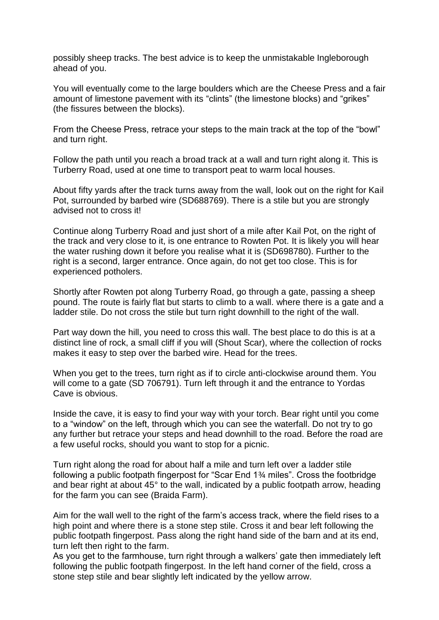possibly sheep tracks. The best advice is to keep the unmistakable Ingleborough ahead of you.

You will eventually come to the large boulders which are the Cheese Press and a fair amount of limestone pavement with its "clints" (the limestone blocks) and "grikes" (the fissures between the blocks).

From the Cheese Press, retrace your steps to the main track at the top of the "bowl" and turn right.

Follow the path until you reach a broad track at a wall and turn right along it. This is Turberry Road, used at one time to transport peat to warm local houses.

About fifty yards after the track turns away from the wall, look out on the right for Kail Pot, surrounded by barbed wire (SD688769). There is a stile but you are strongly advised not to cross it!

Continue along Turberry Road and just short of a mile after Kail Pot, on the right of the track and very close to it, is one entrance to Rowten Pot. It is likely you will hear the water rushing down it before you realise what it is (SD698780). Further to the right is a second, larger entrance. Once again, do not get too close. This is for experienced potholers.

Shortly after Rowten pot along Turberry Road, go through a gate, passing a sheep pound. The route is fairly flat but starts to climb to a wall. where there is a gate and a ladder stile. Do not cross the stile but turn right downhill to the right of the wall.

Part way down the hill, you need to cross this wall. The best place to do this is at a distinct line of rock, a small cliff if you will (Shout Scar), where the collection of rocks makes it easy to step over the barbed wire. Head for the trees.

When you get to the trees, turn right as if to circle anti-clockwise around them. You will come to a gate (SD 706791). Turn left through it and the entrance to Yordas Cave is obvious.

Inside the cave, it is easy to find your way with your torch. Bear right until you come to a "window" on the left, through which you can see the waterfall. Do not try to go any further but retrace your steps and head downhill to the road. Before the road are a few useful rocks, should you want to stop for a picnic.

Turn right along the road for about half a mile and turn left over a ladder stile following a public footpath fingerpost for "Scar End 1¾ miles". Cross the footbridge and bear right at about 45° to the wall, indicated by a public footpath arrow, heading for the farm you can see (Braida Farm).

Aim for the wall well to the right of the farm's access track, where the field rises to a high point and where there is a stone step stile. Cross it and bear left following the public footpath fingerpost. Pass along the right hand side of the barn and at its end, turn left then right to the farm.

As you get to the farmhouse, turn right through a walkers' gate then immediately left following the public footpath fingerpost. In the left hand corner of the field, cross a stone step stile and bear slightly left indicated by the yellow arrow.